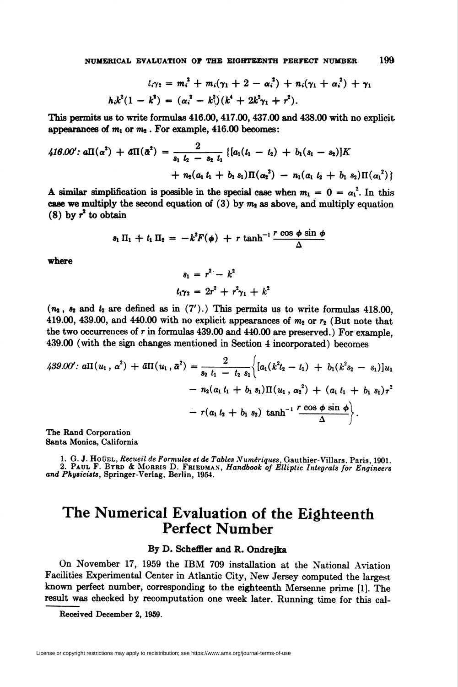$$
t_{i\gamma_2} = m_i^2 + m_i(\gamma_1 + 2 - \alpha_i^2) + n_i(\gamma_1 + \alpha_i^2) + \gamma_1
$$
  

$$
h_i k^2 (1 - k^2) = (\alpha_i^2 - k_i^2)(k^4 + 2k^2\gamma_1 + r^2).
$$

This permits us to write formulas 416.00, 417.00, 437.00 and 438.00 with no explicit appearances of  $m_1$  or  $m_2$ . For example, 416.00 becomes:

$$
416.00': a\Pi(\alpha^2) + a\Pi(\bar{\alpha}^2) = \frac{2}{s_1 t_2 - s_2 t_1} \{ [a_1(t_1 - t_2) + b_1(s_1 - s_2)]K
$$
  
+  $n_2(a_1 t_1 + b_1 s_1)\Pi(\alpha_2^2) - n_1(a_1 t_2 + b_1 s_2)\Pi(\alpha_1^2) \}$ 

A similar simplification is possible in the special case when  $m_1 = 0 = \alpha_1^2$ . In this case we multiply the second equation of (3) by  $m_2$  as above, and multiply equation (8) by  $r^2$  to obtain

$$
s_1 \Pi_1 + t_1 \Pi_2 = -k^2 F(\phi) + r \tanh^{-1} \frac{r \cos \phi \sin \phi}{\Delta}
$$

where

$$
s_1 = r^2 - k^2
$$
  

$$
t_1 \gamma_2 = 2r^2 + r^2 \gamma_1 + k^2
$$

 $(n_2, s_2 \text{ and } t_2 \text{ are defined as in } (7').)$  This permits us to write formulas 418.00. 419.00, 439.00, and 440.00 with no explicit appearances of  $m<sub>2</sub>$  or  $r<sub>2</sub>$  (But note that the two occurrences of  $r$  in formulas  $439.00$  and  $440.00$  are preserved.) For example, 439.00 (with the sign changes mentioned in Section 4 incorporated) becomes

$$
439.00': a\Pi(u_1, \alpha^2) + \bar{a}\Pi(u_1, \bar{\alpha}^2) = \frac{2}{s_2 t_1 - t_2 s_1} \Big\{ [a_1(k^2 t_2 - t_1) + b_1(k^2 s_2 - s_1)]u_1
$$
  
-  $n_2(a_1 t_1 + b_1 s_1)\Pi(u_1, \alpha_2^2) + (a_1 t_1 + b_1 s_1)\tau^2$   
-  $r(a_1 t_2 + b_1 s_2) \tanh^{-1} \frac{r \cos \phi \sin \phi}{\Delta} \Big\}.$ 

The Rand Corporation Santa Monica, California

1. G. J. Hoüzz, Recueil de Formules et de Tables Numériques, Gauthier-Villars. Paris, 1901.<br>2. PAUL F. BYRD & MORRIS D. FRIEDMAN, Handbook of Elliptic Integrals for Engineers and Physicists, Springer-Verlag, Berlin, 1954.

## The Numerical Evaluation of the Eighteenth **Perfect Number**

## By D. Scheffler and R. Ondreika

On November 17, 1959 the IBM 709 installation at the National Aviation Facilities Experimental Center in Atlantic City, New Jersey computed the largest known perfect number, corresponding to the eighteenth Mersenne prime [1]. The result was checked by recomputation one week later. Running time for this cal-

Received December 2, 1959.